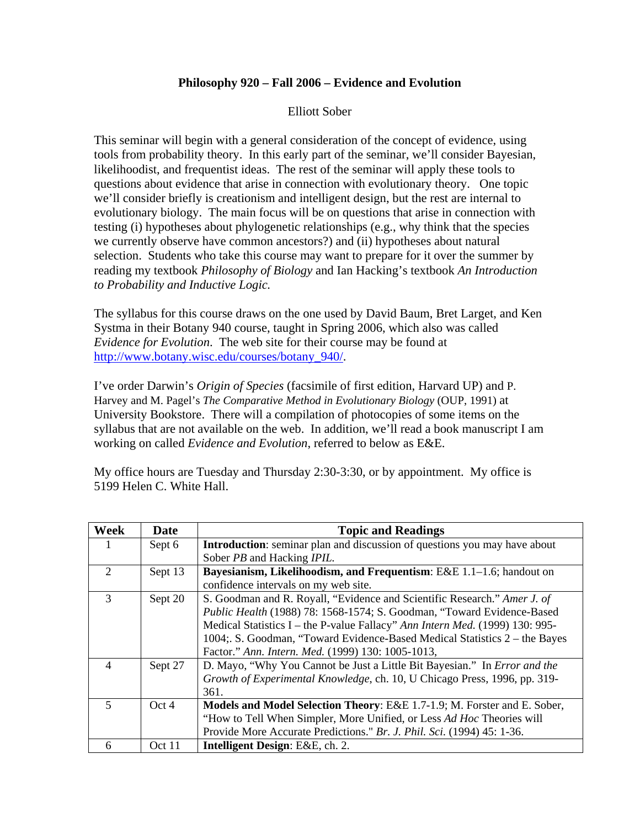## **Philosophy 920 – Fall 2006 – Evidence and Evolution**

## Elliott Sober

This seminar will begin with a general consideration of the concept of evidence, using tools from probability theory. In this early part of the seminar, we'll consider Bayesian, likelihoodist, and frequentist ideas. The rest of the seminar will apply these tools to questions about evidence that arise in connection with evolutionary theory. One topic we'll consider briefly is creationism and intelligent design, but the rest are internal to evolutionary biology. The main focus will be on questions that arise in connection with testing (i) hypotheses about phylogenetic relationships (e.g., why think that the species we currently observe have common ancestors?) and (ii) hypotheses about natural selection. Students who take this course may want to prepare for it over the summer by reading my textbook *Philosophy of Biology* and Ian Hacking's textbook *An Introduction to Probability and Inductive Logic.* 

The syllabus for this course draws on the one used by David Baum, Bret Larget, and Ken Systma in their Botany 940 course, taught in Spring 2006, which also was called *Evidence for Evolution*. The web site for their course may be found at http://www.botany.wisc.edu/courses/botany\_940/.

I've order Darwin's *Origin of Species* (facsimile of first edition, Harvard UP) and P. Harvey and M. Pagel's *The Comparative Method in Evolutionary Biology* (OUP, 1991) at University Bookstore. There will a compilation of photocopies of some items on the syllabus that are not available on the web. In addition, we'll read a book manuscript I am working on called *Evidence and Evolution*, referred to below as E&E.

My office hours are Tuesday and Thursday 2:30-3:30, or by appointment. My office is 5199 Helen C. White Hall.

| Week                        | Date    | <b>Topic and Readings</b>                                                        |
|-----------------------------|---------|----------------------------------------------------------------------------------|
|                             | Sept 6  | <b>Introduction:</b> seminar plan and discussion of questions you may have about |
|                             |         | Sober PB and Hacking IPIL.                                                       |
| $\mathcal{D}_{\mathcal{L}}$ | Sept 13 | Bayesianism, Likelihoodism, and Frequentism: E&E 1.1–1.6; handout on             |
|                             |         | confidence intervals on my web site.                                             |
| 3                           | Sept 20 | S. Goodman and R. Royall, "Evidence and Scientific Research." Amer J. of         |
|                             |         | Public Health (1988) 78: 1568-1574; S. Goodman, "Toward Evidence-Based           |
|                             |         | Medical Statistics I – the P-value Fallacy" Ann Intern Med. (1999) 130: 995-     |
|                             |         | 1004; S. Goodman, "Toward Evidence-Based Medical Statistics 2 – the Bayes        |
|                             |         | Factor." Ann. Intern. Med. (1999) 130: 1005-1013,                                |
| $\overline{4}$              | Sept 27 | D. Mayo, "Why You Cannot be Just a Little Bit Bayesian." In <i>Error and the</i> |
|                             |         | Growth of Experimental Knowledge, ch. 10, U Chicago Press, 1996, pp. 319-        |
|                             |         | 361.                                                                             |
| 5                           | Oct 4   | Models and Model Selection Theory: E&E 1.7-1.9; M. Forster and E. Sober,         |
|                             |         | "How to Tell When Simpler, More Unified, or Less Ad Hoc Theories will            |
|                             |         | Provide More Accurate Predictions." Br. J. Phil. Sci. (1994) 45: 1-36.           |
| 6                           | Oct 11  | Intelligent Design: E&E, ch. 2.                                                  |